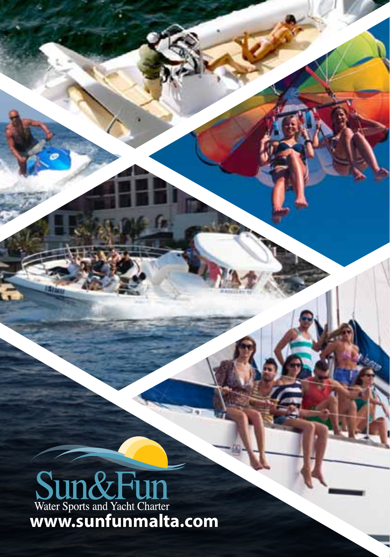# **Sun & Fun**<br>Water Sports and Yacht Charter<br>WWW.sunfunmalta.com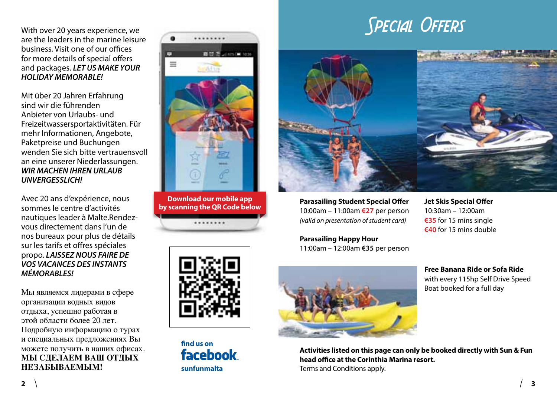With over 20 years experience, we are the leaders in the marine leisure business. Visit one of our offices for more details of special offers and packages. *LET US MAKE YOUR HOLIDAY MEMORABLE!*

Mit über 20 Jahren Erfahrung sind wir die führenden Anbieter von Urlaubs- und Freizeitwassersportaktivitäten. Für mehr Informationen, Angebote, Paketpreise und Buchungen wenden Sie sich bitte vertrauensvoll an eine unserer Niederlassungen. *WIR MACHEN IHREN URLAUB UNVERGESSLICH!*

Avec 20 ans d'expérience, nous sommes le centre d'activités nautiques leader à Malte.Rendezvous directement dans l'un de nos bureaux pour plus de détails sur les tarifs et offres spéciales propo. *LAISSEZ NOUS FAIRE DE VOS VACANCES DES INSTANTS MÉMORABLES!*

Мы являемся лидерами в сфере организации водных видов отдыха, успешно работая в этой области более 20 лет. Подробную информацию о турах и специальных предложениях Вы можете получить в наших офисах. **МЫ СДЕЛАЕМ ВАШ ОТДЫХ НЕЗАБЫВАЕМЫМ!**



**Download our mobile app by scanning the QR Code below** ........



**find us on** facebook

## **SPECIAL OFFERS**



**Parasailing Student Special Offer** 10:00am – 11:00am **€27** per person *(valid on presentation of student card)*

**Parasailing Happy Hour**  11:00am – 12:00am **€35** per person



**Activities listed on this page can only be booked directly with Sun & Fun head office at the Corinthia Marina resort. sunfunmalta** Terms and Conditions apply.

**Jet Skis Special Offer** 10:30am – 12:00am **€35** for 15 mins single **€40** for 15 mins double

**Free Banana Ride or Sofa Ride** with every 115hp Self Drive Speed Boat booked for a full day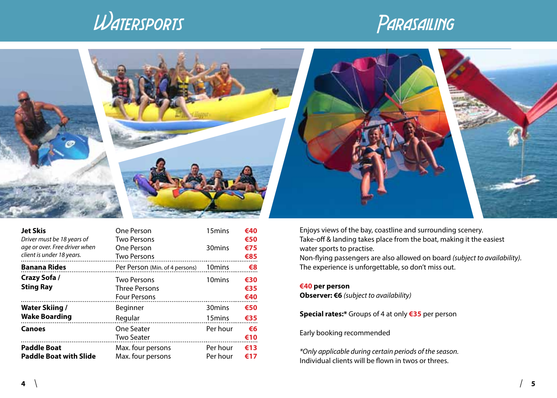





| <b>Jet Skis</b><br>Driver must be 18 years of<br>age or over. Free driver when<br>client is under 18 years. | One Person<br><b>Two Persons</b><br>One Person<br><b>Two Persons</b> | 15mins<br>30 <sub>mins</sub>             | €40<br>€50<br>€75<br>€85 |
|-------------------------------------------------------------------------------------------------------------|----------------------------------------------------------------------|------------------------------------------|--------------------------|
| <b>Banana Rides</b>                                                                                         | Per Person (Min. of 4 persons)                                       | 10 <sub>mins</sub>                       | €8                       |
| Crazy Sofa /<br><b>Sting Ray</b>                                                                            | <b>Two Persons</b><br><b>Three Persons</b><br><b>Four Persons</b>    | 10 <sub>mins</sub>                       | €30<br>€35<br>€40        |
| Water Skiing /<br>Wake Boarding                                                                             | Beginner<br>Regular                                                  | 30 <sub>mins</sub><br>15 <sub>mins</sub> | €50<br>€35               |
| Canoes                                                                                                      | One Seater<br><b>Two Seater</b>                                      | Per hour                                 | €6<br>€10                |
| <b>Paddle Boat</b><br><b>Paddle Boat with Slide</b>                                                         | Max. four persons<br>Max. four persons                               | Per hour<br>Per hour                     | €13<br>€17               |

Enjoys views of the bay, coastline and surrounding scenery. Take-off & landing takes place from the boat, making it the easiest water sports to practise. Non-flying passengers are also allowed on board *(subject to availability).*  The experience is unforgettable, so don't miss out.

#### **€40 per person**

**Observer: €6** *(subject to availability)*

**Special rates:\*** Groups of 4 at only **€35** per person

Early booking recommended

*\*Only applicable during certain periods of the season.*  Individual clients will be flown in twos or threes.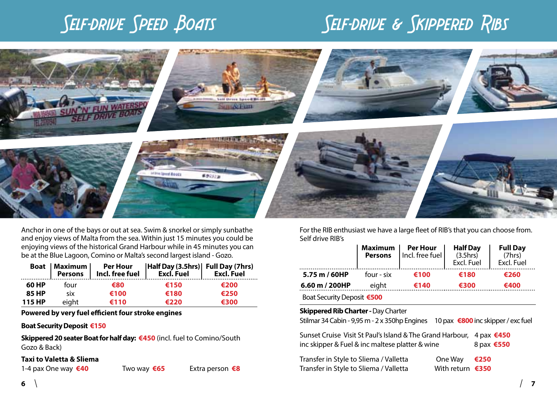## SELF-DRIVE SPEED BOATS SELF-DRIVE & SKIPPERED RIBS



Anchor in one of the bays or out at sea. Swim & snorkel or simply sunbathe and enjoy views of Malta from the sea. Within just 15 minutes you could be enjoying views of the historical Grand Harbour while in 45 minutes you can be at the Blue Lagoon, Comino or Malta's second largest island - Gozo.

|        |       |      | Boat   Maximum   Per Hour   Half Day (3.5hrs)   Full Day (7hrs)<br>  Persons   Incl. free fuel   Excl. Fuel   Excl. Fuel   Excl. Fuel |      |
|--------|-------|------|---------------------------------------------------------------------------------------------------------------------------------------|------|
| 60 HP  | four  | €80  | €150                                                                                                                                  | €200 |
| 85 HP  | six   | €100 | €180                                                                                                                                  | €250 |
| 115 HP | eight | €110 | €220                                                                                                                                  | €300 |

**Powered by very fuel efficient four stroke engines**

#### **Boat Security Deposit €150**

**Skippered 20 seater Boat for half day: €450** (incl. fuel to Comino/South Gozo & Back)

#### **Taxi to Valetta & Sliema**

For the RIB enthusiast we have a large fleet of RIB's that you can choose from. Self drive RIB's

|                            |            | <b>Maximum Per Hour Half Day</b><br><b>Persons</b> Incl. free fuel (3.5hrs)<br>Excl. Fuel |      | <b>Full Day</b><br>(7hrs)<br>Excl. Fuel |
|----------------------------|------------|-------------------------------------------------------------------------------------------|------|-----------------------------------------|
| 5.75 m / 60HP              | four - six | €100                                                                                      | €180 | €260                                    |
| 6.60 m / 200HP             | eight      | €140                                                                                      | €300 | €400                                    |
| Boat Security Deposit €500 |            |                                                                                           |      |                                         |

#### **Skippered Rib Charter - Day Charter**

Stilmar 34 Cabin - 9,95 m - 2 x 350hp Engines 10 pax **€800**inc skipper / exc fuel

| Sunset Cruise Visit St Paul's Island & The Grand Harbour, 4 pax €450<br>inc skipper & Fuel & inc maltese platter & wine | 8 pax <b>€550</b>                     |      |
|-------------------------------------------------------------------------------------------------------------------------|---------------------------------------|------|
| Transfer in Style to Sliema / Valletta<br>Transfer in Style to Sliema / Valletta                                        | One Way<br>With return $\epsilon$ 350 | €250 |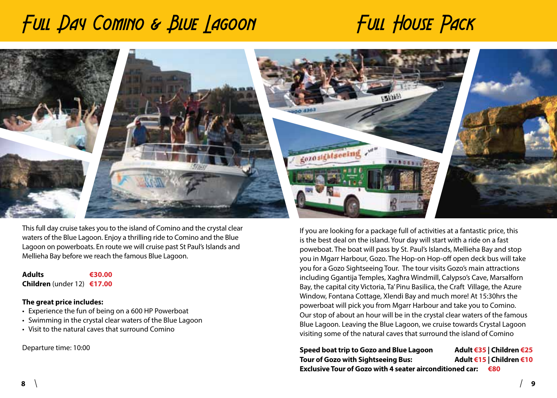## Full Day Comino & Blue Lagoon Full House Pack



This full day cruise takes you to the island of Comino and the crystal clear waters of the Blue Lagoon. Enjoy a thrilling ride to Comino and the Blue Lagoon on powerboats. En route we will cruise past St Paul's Islands and Mellieha Bay before we reach the famous Blue Lagoon.

**Adults €30.00 Children** (under 12) **€17.00**

#### **The great price includes:**

- Experience the fun of being on a 600 HP Powerboat
- Swimming in the crystal clear waters of the Blue Lagoon
- Visit to the natural caves that surround Comino

Departure time: 10:00

If you are looking for a package full of activities at a fantastic price, this is the best deal on the island. Your day will start with a ride on a fast poweboat. The boat will pass by St. Paul's Islands, Mellieha Bay and stop you in Mgarr Harbour, Gozo. The Hop-on Hop-off open deck bus will take you for a Gozo Sightseeing Tour. The tour visits Gozo's main attractions including Ggantija Temples, Xagħra Windmill, Calypso's Cave, Marsalforn Bay, the capital city Victoria, Ta' Pinu Basilica, the Craft Village, the Azure Window, Fontana Cottage, Xlendi Bay and much more! At 15:30hrs the powerboat will pick you from Mgarr Harbour and take you to Comino. Our stop of about an hour will be in the crystal clear waters of the famous Blue Lagoon. Leaving the Blue Lagoon, we cruise towards Crystal Lagoon visiting some of the natural caves that surround the island of Comino

| Speed boat trip to Gozo and Blue Lagoon                         | Adult €35   Children €25 |
|-----------------------------------------------------------------|--------------------------|
| Tour of Gozo with Sightseeing Bus:                              | Adult €15   Children €10 |
| <b>Exclusive Tour of Gozo with 4 seater airconditioned car:</b> | €80                      |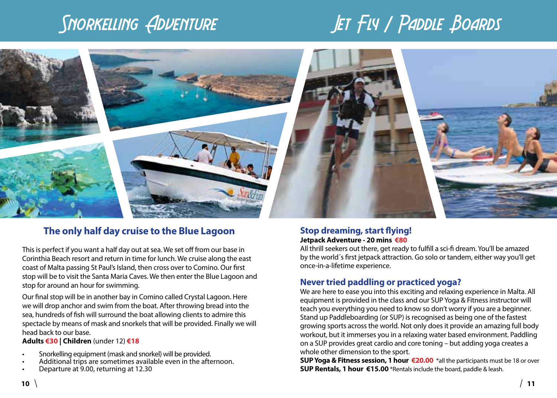## Snorkelling Adventure Jet Fly / Paddle Boards



### **The only half day cruise to the Blue Lagoon**

This is perfect if you want a half day out at sea. We set off from our base in Corinthia Beach resort and return in time for lunch. We cruise along the east coast of Malta passing St Paul's Island, then cross over to Comino. Our first stop will be to visit the Santa Maria Caves. We then enter the Blue Lagoon and stop for around an hour for swimming.

Our final stop will be in another bay in Comino called Crystal Lagoon. Here we will drop anchor and swim from the boat. After throwing bread into the sea, hundreds of fish will surround the boat allowing clients to admire this spectacle by means of mask and snorkels that will be provided. Finally we will head back to our base.

#### **Adults €30 | Children** (under 12) **€18**

- Snorkelling equipment (mask and snorkel) will be provided.
- Additional trips are sometimes available even in the afternoon.
- Departure at 9.00, returning at 12.30

#### **Stop dreaming, start flying! Jetpack Adventure - 20 mins €80**

All thrill seekers out there, get ready to fulfill a sci-fi dream. You'll be amazed by the world´s first jetpack attraction. Go solo or tandem, either way you'll get once-in-a-lifetime experience.

### **Never tried paddling or practiced yoga?**

We are here to ease you into this exciting and relaxing experience in Malta. All equipment is provided in the class and our SUP Yoga & Fitness instructor will teach you everything you need to know so don't worry if you are a beginner. Stand up Paddleboarding (or SUP) is recognised as being one of the fastest growing sports across the world. Not only does it provide an amazing full body workout, but it immerses you in a relaxing water based environment. Paddling on a SUP provides great cardio and core toning – but adding yoga creates a whole other dimension to the sport.

**SUP Yoga & Fitness session, 1 hour €20.00** \*all the participants must be 18 or over **SUP Rentals, 1 hour €15.00** \*Rentals include the board, paddle & leash.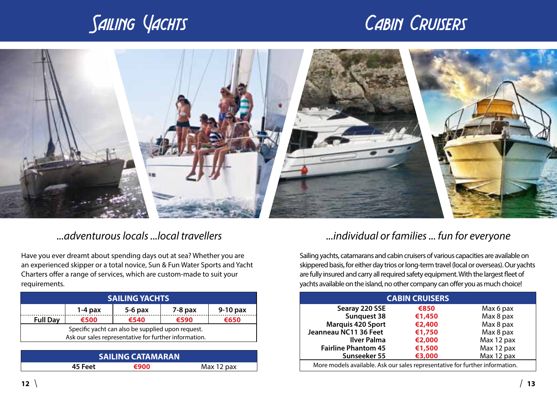## Sailing Yachts Cabin Cruisers



Have you ever dreamt about spending days out at sea? Whether you are an experienced skipper or a total novice, Sun & Fun Water Sports and Yacht Charters offer a range of services, which are custom-made to suit your requirements.

| <b>SAILING YACHTS</b>                                                                                      |      |      |      |      |
|------------------------------------------------------------------------------------------------------------|------|------|------|------|
| $5-6$ pax<br>$9-10$ pax<br>$7-8$ pax<br>$1-4$ pax                                                          |      |      |      |      |
| <b>Full Dav</b>                                                                                            | €500 | €540 | €590 | €650 |
| Specific yacht can also be supplied upon request.<br>Ask our sales representative for further information. |      |      |      |      |
|                                                                                                            |      |      |      |      |

| <b>SAILING CATAMARAN</b> |      |            |  |  |
|--------------------------|------|------------|--|--|
| 45 Feet                  | €900 | Max 12 pax |  |  |
|                          |      |            |  |  |

### *...adventurous locals ...local travellers ...individual or families ... fun for everyone*

Sailing yachts, catamarans and cabin cruisers of various capacities are available on skippered basis, for either day trios or long-term travel (local or overseas). Our yachts are fully insured and carry all required safety equipment. With the largest fleet of yachts available on the island, no other company can offer you as much choice!

| <b>CABIN CRUISERS</b>                                                        |        |            |  |  |
|------------------------------------------------------------------------------|--------|------------|--|--|
| Searay 220 SSE                                                               | €850   | Max 6 pax  |  |  |
| Sunguest 38                                                                  | €1,450 | Max 8 pax  |  |  |
| <b>Marquis 420 Sport</b>                                                     | €2,400 | Max 8 pax  |  |  |
| Jeanneau NC11 36 Feet                                                        | €1,750 | Max 8 pax  |  |  |
| <b>Ilver Palma</b>                                                           | €2,000 | Max 12 pax |  |  |
| <b>Fairline Phantom 45</b>                                                   | €1,500 | Max 12 pax |  |  |
| Sunseeker 55                                                                 | €3,000 | Max 12 pax |  |  |
| More models available. Ask our sales representative for further information. |        |            |  |  |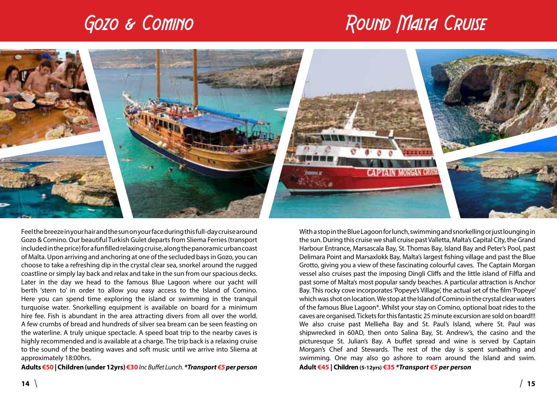## Gozo & Comino Round Round Malta Cruise



Feel the breeze in your hair and the sun on your face during this full-day cruise around Gozo & Comino. Our beautiful Turkish Gulet departs from Sliema Ferries (transport included in the price) for a fun filled relaxing cruise, along the panoramic urban coast of Malta. Upon arriving and anchoring at one of the secluded bays in Gozo, you can choose to take a refreshing dip in the crystal clear sea, snorkel around the rugged coastline or simply lay back and relax and take in the sun from our spacious decks. Later in the day we head to the famous Blue Lagoon where our yacht will berth 'stern to' in order to allow you easy access to the Island of Comino. Here you can spend time exploring the island or swimming in the tranquil turquoise water. Snorkelling equipment is available on board for a minimum hire fee. Fish is abundant in the area attracting divers from all over the world. A few crumbs of bread and hundreds of silver sea bream can be seen feasting on the waterline. A truly unique spectacle. A speed boat trip to the nearby caves is highly recommended and is available at a charge. The trip back is a relaxing cruise to the sound of the beating waves and soft music until we arrive into Sliema at approximately 18:00hrs.

**Adults €50 | Children (under 12yrs) €30***Inc Buffet Lunch. \*Transport €5 per person*

With a stop in the Blue Lagoon for lunch, swimming and snorkelling or just lounging in the sun. During this cruise we shall cruise past Valletta, Malta's Capital City, the Grand Harbour Entrance, Marsascala Bay, St. Thomas Bay, Island Bay and Peter's Pool, past Delimara Point and Marsaxlokk Bay, Malta's largest fishing village and past the Blue Grotto, giving you a view of these fascinating colourful caves. The Captain Morgan vessel also cruises past the imposing Dingli Cliffs and the little island of Filfla and past some of Malta's most popular sandy beaches. A particular attraction is Anchor Bay. This rocky cove incorporates 'Popeye's Village', the actual set of the film 'Popeye' which was shot on location. We stop at the Island of Comino in the crystal clear waters of the famous Blue Lagoon\*. Whilst your stay on Comino, optional boat rides to the caves are organised. Tickets for this fantastic 25 minute excursion are sold on board!!! We also cruise past Mellieħa Bay and St. Paul's Island, where St. Paul was shipwrecked in 60AD, then onto Salina Bay, St. Andrew's, the casino and the picturesque St. Julian's Bay. A buffet spread and wine is served by Captain Morgan's Chef and Stewards. The rest of the day is spent sunbathing and swimming. One may also go ashore to roam around the Island and swim. **Adult €45 | Children (5-12yrs) €35** *\*Transport €5 per person*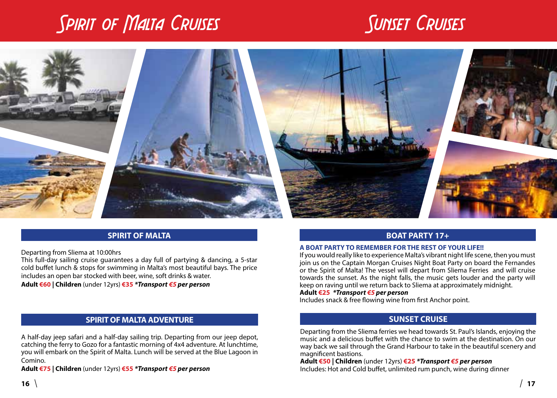## SPIRIT OF MALTA CRUISES SUNSET CRUISES



### **SPIRIT OF MALTA**

Departing from Sliema at 10:00hrs

This full-day sailing cruise guarantees a day full of partying & dancing, a 5-star cold buffet lunch & stops for swimming in Malta's most beautiful bays. The price includes an open bar stocked with beer, wine, soft drinks & water.

**Adult €60 | Children** (under 12yrs) **€35** *\*Transport €5 per person*

#### **SPIRIT OF MALTA ADVENTURE**

A half-day jeep safari and a half-day sailing trip. Departing from our jeep depot, catching the ferry to Gozo for a fantastic morning of 4x4 adventure. At lunchtime, you will embark on the Spirit of Malta. Lunch will be served at the Blue Lagoon in Comino.

**Adult €75 | Children** (under 12yrs) **€55** *\*Transport €5 per person*

#### **BOAT PARTY 17+**

#### **A BOAT PARTY TO REMEMBER FOR THE REST OF YOUR LIFE!!**

If you would really like to experience Malta's vibrant night life scene, then you must join us on the Captain Morgan Cruises Night Boat Party on board the Fernandes or the Spirit of Malta! The vessel will depart from Sliema Ferries and will cruise towards the sunset. As the night falls, the music gets louder and the party will keep on raving until we return back to Sliema at approximately midnight.

#### **Adult €25** *\*Transport €5 per person*

Includes snack & free flowing wine from first Anchor point.

#### **SUNSET CRUISE**

Departing from the Sliema ferries we head towards St. Paul's Islands, enjoying the music and a delicious buffet with the chance to swim at the destination. On our way back we sail through the Grand Harbour to take in the beautiful scenery and magnificent bastions.

**Adult €50 | Children** (under 12yrs) **€25** *\*Transport €5 per person* Includes: Hot and Cold buffet, unlimited rum punch, wine during dinner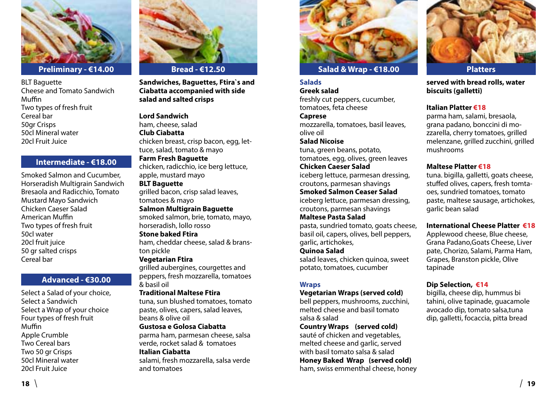

BLT Baguette Cheese and Tomato Sandwich Muffin Two types of fresh fruit Cereal bar 50gr Crisps 50cl Mineral water 20cl Fruit Juice

#### **Intermediate - €18.00**

Smoked Salmon and Cucumber, Horseradish Multigrain Sandwich Bresaola and Radicchio, Tomato Mustard Mayo Sandwich Chicken Caeser Salad American Muffin Two types of fresh fruit 50cl water 20cl fruit juice 50 gr salted crisps Cereal bar

#### **Advanced - €30.00**

Select a Salad of your choice, Select a Sandwich Select a Wrap of your choice Four types of fresh fruit Muffin Apple Crumble Two Cereal bars Two 50 gr Crisps 50cl Mineral water 20cl Fruit Juice



**Sandwiches, Baguettes, Ftira`s and Ciabatta accompanied with side salad and salted crisps**

#### **Lord Sandwich**

ham, cheese, salad **Club Ciabatta** chicken breast, crisp bacon, egg, lettuce, salad, tomato & mayo

**Farm Fresh Baguette** chicken, radicchio, ice berg lettuce, apple, mustard mayo

### **BLT Baguette**

grilled bacon, crisp salad leaves, tomatoes & mayo

#### **Salmon Multigrain Baguette** smoked salmon, brie, tomato, mayo,

horseradish, lollo rosso **Stone baked Ftira**

ham, cheddar cheese, salad & branston pickle

#### **Vegetarian Ftira**

grilled aubergines, courgettes and peppers, fresh mozzarella, tomatoes & basil oil

#### **Traditional Maltese Ftira**

tuna, sun blushed tomatoes, tomato paste, olives, capers, salad leaves, beans & olive oil

#### **Gustosa e Golosa Ciabatta**

parma ham, parmesan cheese, salsa verde, rocket salad & tomatoes

#### **Italian Ciabatta**

salami, fresh mozzarella, salsa verde and tomatoes



### **Salad & Wrap - €18.00**

#### **Salads**

**Greek salad** freshly cut peppers, cucumber, tomatoes, feta cheese

#### **Caprese**

mozzarella, tomatoes, basil leaves, olive oil

### **Salad Nicoise**

tuna, green beans, potato, tomatoes, egg, olives, green leaves

### **Chicken Caeser Salad**

iceberg lettuce, parmesan dressing, croutons, parmesan shavings **Smoked Salmon Ceaser Salad**

iceberg lettuce, parmesan dressing, croutons, parmesan shavings

#### **Maltese Pasta Salad**

pasta, sundried tomato, goats cheese, basil oil, capers, olives, bell peppers, garlic, artichokes,

#### **Quinoa Salad**

salad leaves, chicken quinoa, sweet potato, tomatoes, cucumber

#### **Wraps**

#### **Vegetarian Wraps (served cold)**

bell peppers, mushrooms, zucchini, melted cheese and basil tomato salsa & salad

#### **Country Wraps (served cold)**

sauté of chicken and vegetables, melted cheese and garlic, served with basil tomato salsa & salad **Honey Baked Wrap (served cold)** ham, swiss emmenthal cheese, honey



**served with bread rolls, water biscuits (galletti)**

#### **Italian Platter €18**

parma ham, salami, bresaola, grana padano, bonccini di mozzarella, cherry tomatoes, grilled melenzane, grilled zucchini, grilled mushrooms

#### **Maltese Platter €18**

tuna. bigilla, galletti, goats cheese, stuffed olives, capers, fresh tomtaoes, sundried tomatoes, tomato paste, maltese sausage, artichokes, garlic bean salad

#### **International Cheese Platter €18**

Applewood cheese, Blue cheese, Grana Padano,Goats Cheese, Liver pate, Chorizo, Salami, Parma Ham, Grapes, Branston pickle, Olive tapinade

#### **Dip Selection, €14**

bigilla, cheese dip, hummus bi tahini, olive tapinade, guacamole avocado dip, tomato salsa,tuna dip, galletti, focaccia, pitta bread